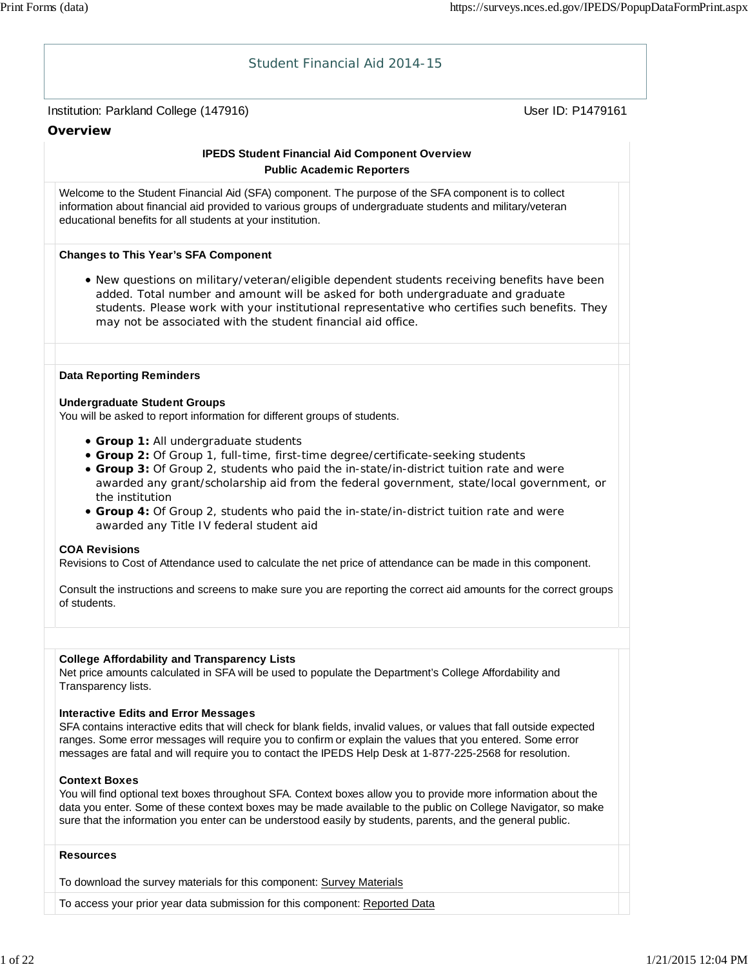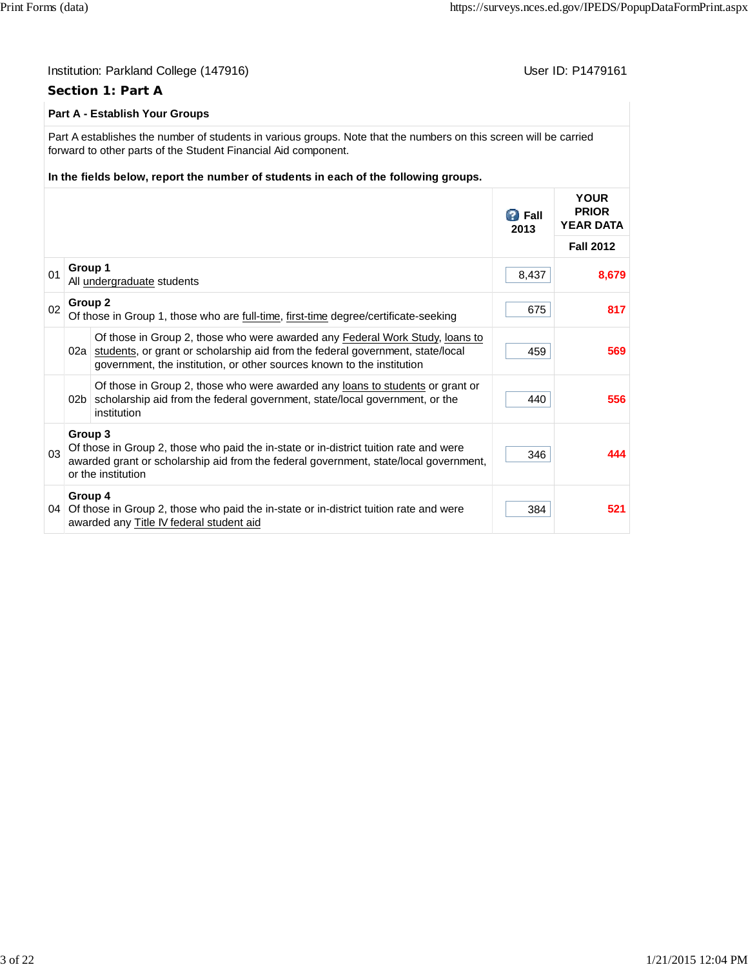384 **521**

#### Institution: Parkland College (147916) November 2012 12: P1479161 **Section 1: Part A Part A - Establish Your Groups** Part A establishes the number of students in various groups. Note that the numbers on this screen will be carried forward to other parts of the Student Financial Aid component. **In the fields below, report the number of students in each of the following groups.** *B* Fall **2013 YOUR PRIOR YEAR DATA Fall 2012** <sup>01</sup> **Group 1** All <u>undergraduate</u> students 8,679<br>All <u>undergraduate</u> students <sup>02</sup> **Group 2** Of those in Group 1, those who are <u>full-time</u>, first-time degree/certificate-seeking 675 675 02a students, or grant or scholarship aid from the federal government, state/local Of those in Group 2, those who were awarded any Federal Work Study, loans to government, the institution, or other sources known to the institution 459 **569** 02b scholarship aid from the federal government, state/local government, or the Of those in Group 2, those who were awarded any loans to students or grant or institution 440 **556** 03 **Group 3** Of those in Group 2, those who paid the in-state or in-district tuition rate and were awarded grant or scholarship aid from the federal government, state/local government, or the institution 346 **444 Group 4**

04 Of those in Group 2, those who paid the in-state or in-district tuition rate and were

awarded any Title IV federal student aid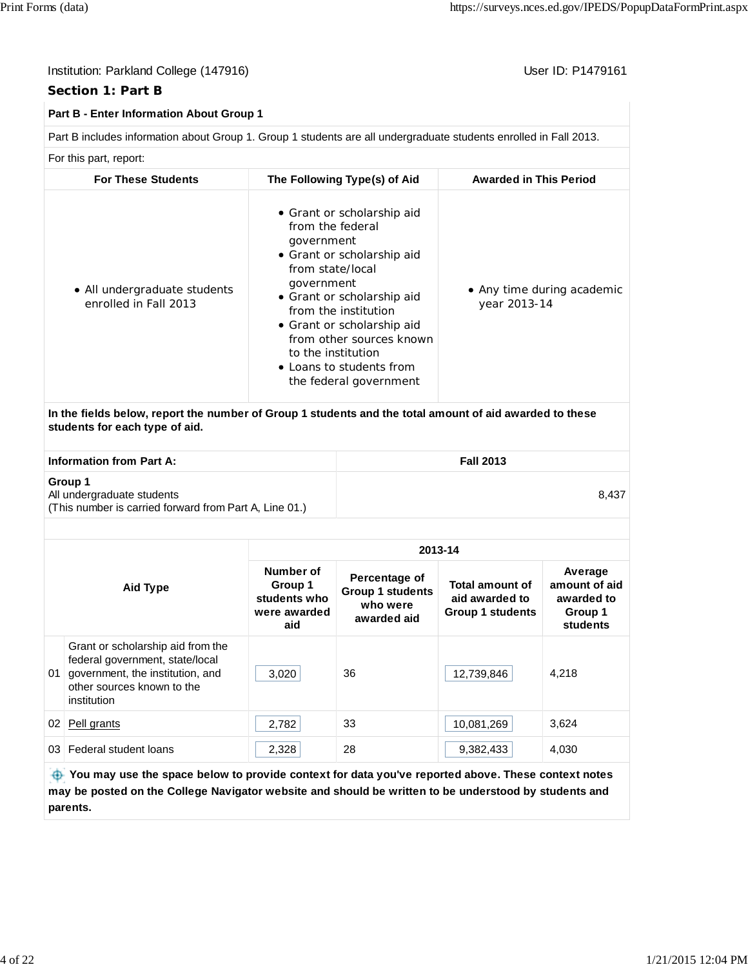#### **Section 1: Part B**

#### **Part B - Enter Information About Group 1**

Part B includes information about Group 1. Group 1 students are all undergraduate students enrolled in Fall 2013.

For this part, report:

| <b>For These Students</b>                                                                                                                 | The Following Type(s) of Aid                                                                                                                                                                                                                                                                                             | <b>Awarded in This Period</b>              |
|-------------------------------------------------------------------------------------------------------------------------------------------|--------------------------------------------------------------------------------------------------------------------------------------------------------------------------------------------------------------------------------------------------------------------------------------------------------------------------|--------------------------------------------|
| • All undergraduate students<br>enrolled in Fall 2013                                                                                     | • Grant or scholarship aid<br>from the federal<br>government<br>• Grant or scholarship aid<br>from state/local<br>government<br>• Grant or scholarship aid<br>from the institution<br>• Grant or scholarship aid<br>from other sources known<br>to the institution<br>• Loans to students from<br>the federal government | • Any time during academic<br>year 2013-14 |
| In the fields below, report the number of Group 1 students and the total amount of aid awarded to these<br>students for each type of aid. |                                                                                                                                                                                                                                                                                                                          |                                            |
| <b>Information from Part A:</b>                                                                                                           |                                                                                                                                                                                                                                                                                                                          | <b>Fall 2013</b>                           |
| Group 1<br>All undergraduate students                                                                                                     |                                                                                                                                                                                                                                                                                                                          | 8,437                                      |

(This number is carried forward from Part A, Line 01.)

| Aid Type        |                                                                                                                                                       | 2013-14                                                     |                                                                     |                                                                     |                                                               |  |  |
|-----------------|-------------------------------------------------------------------------------------------------------------------------------------------------------|-------------------------------------------------------------|---------------------------------------------------------------------|---------------------------------------------------------------------|---------------------------------------------------------------|--|--|
|                 |                                                                                                                                                       | Number of<br>Group 1<br>students who<br>were awarded<br>aid | Percentage of<br><b>Group 1 students</b><br>who were<br>awarded aid | <b>Total amount of</b><br>aid awarded to<br><b>Group 1 students</b> | Average<br>amount of aid<br>awarded to<br>Group 1<br>students |  |  |
| 01              | Grant or scholarship aid from the<br>federal government, state/local<br>government, the institution, and<br>other sources known to the<br>institution | 3,020                                                       | 36                                                                  | 12,739,846                                                          | 4,218                                                         |  |  |
| 02              | Pell grants                                                                                                                                           | 2,782                                                       | 33                                                                  | 10,081,269                                                          | 3,624                                                         |  |  |
| 03 <sup>1</sup> | Federal student loans                                                                                                                                 | 2,328                                                       | 28                                                                  | 9,382,433                                                           | 4,030                                                         |  |  |
|                 | <b>1966</b> Variance that the annual halance to marrials against fan data conduction annual about These contents                                      |                                                             |                                                                     |                                                                     |                                                               |  |  |

 **You may use the space below to provide context for data you've reported above. These context notes may be posted on the College Navigator website and should be written to be understood by students and parents.**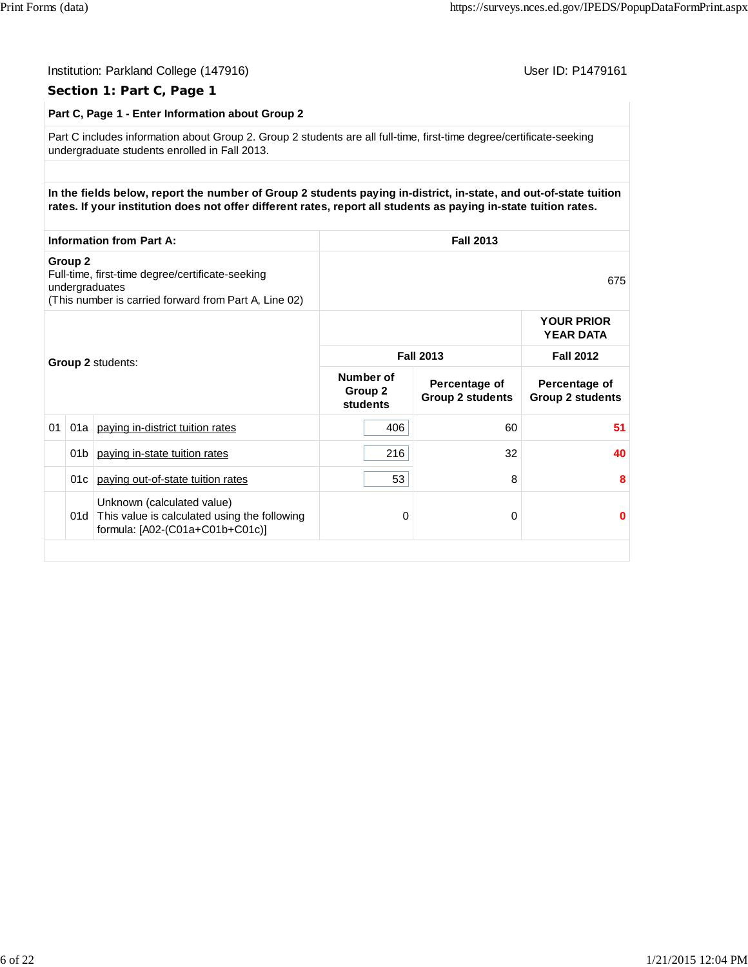|                                                                                                                                                   | Part C, Page 1 - Enter Information about Group 2                                                                                                                      |                                                                                                                                                                                                                                       |                                         |                                          |                                          |  |  |
|---------------------------------------------------------------------------------------------------------------------------------------------------|-----------------------------------------------------------------------------------------------------------------------------------------------------------------------|---------------------------------------------------------------------------------------------------------------------------------------------------------------------------------------------------------------------------------------|-----------------------------------------|------------------------------------------|------------------------------------------|--|--|
|                                                                                                                                                   | Part C includes information about Group 2. Group 2 students are all full-time, first-time degree/certificate-seeking<br>undergraduate students enrolled in Fall 2013. |                                                                                                                                                                                                                                       |                                         |                                          |                                          |  |  |
|                                                                                                                                                   |                                                                                                                                                                       | In the fields below, report the number of Group 2 students paying in-district, in-state, and out-of-state tuition<br>rates. If your institution does not offer different rates, report all students as paying in-state tuition rates. |                                         |                                          |                                          |  |  |
|                                                                                                                                                   |                                                                                                                                                                       | <b>Information from Part A:</b>                                                                                                                                                                                                       |                                         | <b>Fall 2013</b>                         |                                          |  |  |
| Group <sub>2</sub><br>Full-time, first-time degree/certificate-seeking<br>undergraduates<br>(This number is carried forward from Part A, Line 02) |                                                                                                                                                                       |                                                                                                                                                                                                                                       |                                         |                                          | 675                                      |  |  |
|                                                                                                                                                   |                                                                                                                                                                       |                                                                                                                                                                                                                                       |                                         |                                          | <b>YOUR PRIOR</b><br><b>YEAR DATA</b>    |  |  |
|                                                                                                                                                   |                                                                                                                                                                       | <b>Group 2 students:</b>                                                                                                                                                                                                              | <b>Fall 2013</b>                        |                                          | <b>Fall 2012</b>                         |  |  |
|                                                                                                                                                   |                                                                                                                                                                       |                                                                                                                                                                                                                                       | Number of<br>Group 2<br><b>students</b> | Percentage of<br><b>Group 2 students</b> | Percentage of<br><b>Group 2 students</b> |  |  |
| 01                                                                                                                                                |                                                                                                                                                                       | 01a   paying in-district tuition rates                                                                                                                                                                                                | 406                                     | 60                                       | 51                                       |  |  |
|                                                                                                                                                   | 01b                                                                                                                                                                   | paying in-state tuition rates                                                                                                                                                                                                         | 216                                     | 32                                       | 40                                       |  |  |
|                                                                                                                                                   |                                                                                                                                                                       | 01c   paying out-of-state tuition rates                                                                                                                                                                                               | 53                                      | 8                                        | 8                                        |  |  |
|                                                                                                                                                   |                                                                                                                                                                       | Unknown (calculated value)<br>01d This value is calculated using the following<br>formula: [A02-(C01a+C01b+C01c)]                                                                                                                     | 0                                       | 0                                        | $\bf{0}$                                 |  |  |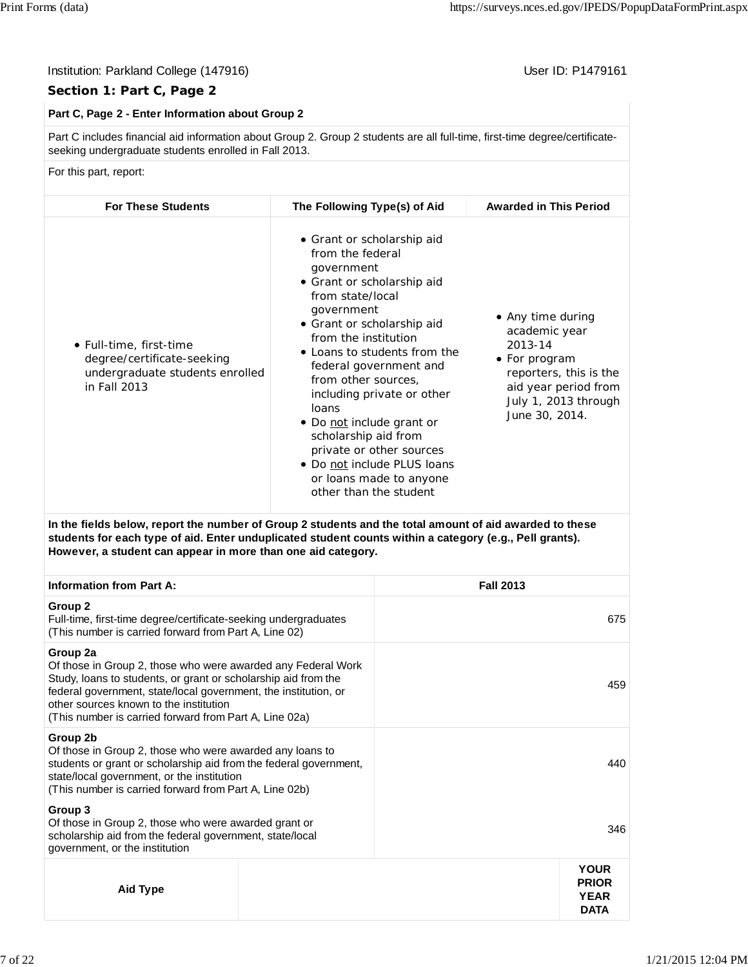#### Institution: Parkland College (147916) November 2012 12: P1479161

#### **Section 1: Part C, Page 2**

#### **Part C, Page 2 - Enter Information about Group 2**

Part C includes financial aid information about Group 2. Group 2 students are all full-time, first-time degree/certificateseeking undergraduate students enrolled in Fall 2013.

For this part, report:

| <b>For These Students</b>                                                                                | The Following Type(s) of Aid                                                                                                                                                                                                                                                                                                                                                                                                                                                    | <b>Awarded in This Period</b>                                                                                                                              |
|----------------------------------------------------------------------------------------------------------|---------------------------------------------------------------------------------------------------------------------------------------------------------------------------------------------------------------------------------------------------------------------------------------------------------------------------------------------------------------------------------------------------------------------------------------------------------------------------------|------------------------------------------------------------------------------------------------------------------------------------------------------------|
| • Full-time, first-time<br>degree/certificate-seeking<br>undergraduate students enrolled<br>in Fall 2013 | • Grant or scholarship aid<br>from the federal<br>government<br>• Grant or scholarship aid<br>from state/local<br>government<br>• Grant or scholarship aid<br>from the institution<br>• Loans to students from the<br>federal government and<br>from other sources,<br>including private or other<br>loans<br>• Do not include grant or<br>scholarship aid from<br>private or other sources<br>• Do not include PLUS loans<br>or loans made to anyone<br>other than the student | • Any time during<br>academic year<br>2013-14<br>• For program<br>reporters, this is the<br>aid year period from<br>July 1, 2013 through<br>June 30, 2014. |

**In the fields below, report the number of Group 2 students and the total amount of aid awarded to these students for each type of aid. Enter unduplicated student counts within a category (e.g., Pell grants). However, a student can appear in more than one aid category.**

| <b>Information from Part A:</b>                                                                                                                                                                                                                                                                                   |  | <b>Fall 2013</b>                                          |
|-------------------------------------------------------------------------------------------------------------------------------------------------------------------------------------------------------------------------------------------------------------------------------------------------------------------|--|-----------------------------------------------------------|
| Group 2<br>Full-time, first-time degree/certificate-seeking undergraduates<br>(This number is carried forward from Part A, Line 02)                                                                                                                                                                               |  | 675                                                       |
| Group 2a<br>Of those in Group 2, those who were awarded any Federal Work<br>Study, loans to students, or grant or scholarship aid from the<br>federal government, state/local government, the institution, or<br>other sources known to the institution<br>(This number is carried forward from Part A, Line 02a) |  | 459                                                       |
| Group 2b<br>Of those in Group 2, those who were awarded any loans to<br>students or grant or scholarship aid from the federal government,<br>state/local government, or the institution<br>(This number is carried forward from Part A, Line 02b)                                                                 |  | 440                                                       |
| Group 3<br>Of those in Group 2, those who were awarded grant or<br>scholarship aid from the federal government, state/local<br>government, or the institution                                                                                                                                                     |  | 346                                                       |
| Aid Type                                                                                                                                                                                                                                                                                                          |  | <b>YOUR</b><br><b>PRIOR</b><br><b>YEAR</b><br><b>DATA</b> |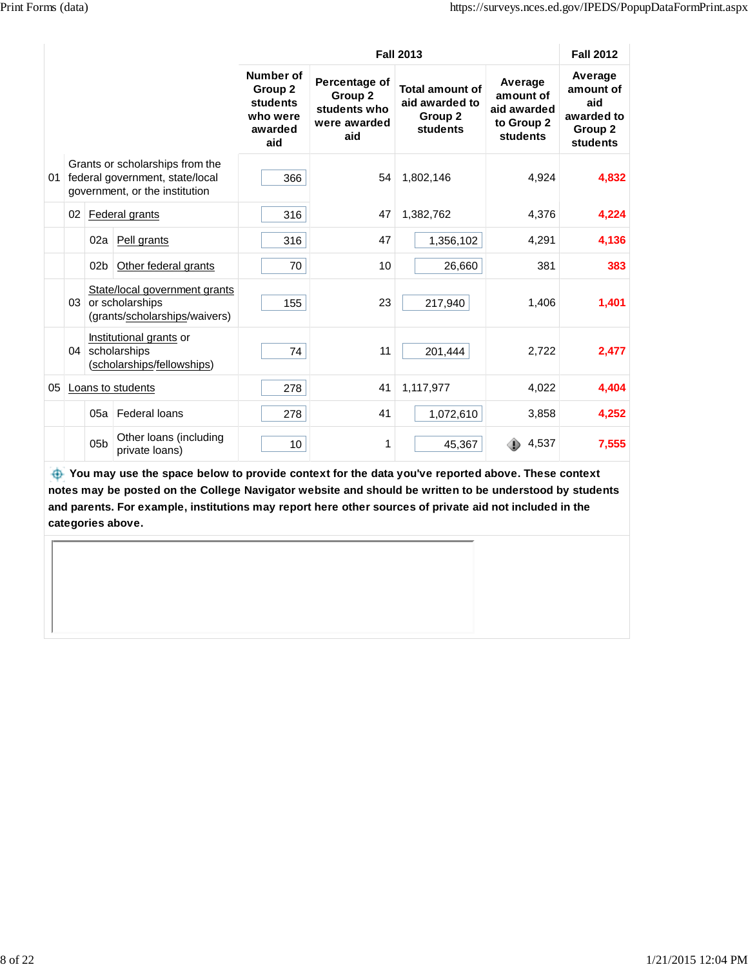$\mathbf{r}$ 

|    |    |                 |                                                                                                      |                                                                | <b>Fall 2013</b>                                                |                                                                 |                                                               |                                                                  |
|----|----|-----------------|------------------------------------------------------------------------------------------------------|----------------------------------------------------------------|-----------------------------------------------------------------|-----------------------------------------------------------------|---------------------------------------------------------------|------------------------------------------------------------------|
|    |    |                 |                                                                                                      | Number of<br>Group 2<br>students<br>who were<br>awarded<br>aid | Percentage of<br>Group 2<br>students who<br>were awarded<br>aid | <b>Total amount of</b><br>aid awarded to<br>Group 2<br>students | Average<br>amount of<br>aid awarded<br>to Group 2<br>students | Average<br>amount of<br>aid<br>awarded to<br>Group 2<br>students |
| 01 |    |                 | Grants or scholarships from the<br>federal government, state/local<br>government, or the institution | 366                                                            | 54                                                              | 1,802,146                                                       | 4,924                                                         | 4,832                                                            |
|    | 02 |                 | Federal grants                                                                                       | 316                                                            | 47                                                              | 1,382,762                                                       | 4,376                                                         | 4,224                                                            |
|    |    | 02a             | Pell grants                                                                                          | 316                                                            | 47                                                              | 1,356,102                                                       | 4,291                                                         | 4,136                                                            |
|    |    | 02 <sub>b</sub> | Other federal grants                                                                                 | 70                                                             | 10                                                              | 26,660                                                          | 381                                                           | 383                                                              |
|    | 03 |                 | State/local government grants<br>or scholarships<br>(grants/scholarships/waivers)                    | 155                                                            | 23                                                              | 217,940                                                         | 1,406                                                         | 1,401                                                            |
|    | 04 |                 | Institutional grants or<br>scholarships<br>(scholarships/fellowships)                                | 74                                                             | 11                                                              | 201,444                                                         | 2,722                                                         | 2,477                                                            |
| 05 |    |                 | Loans to students                                                                                    | 278                                                            | 41                                                              | 1,117,977                                                       | 4,022                                                         | 4,404                                                            |
|    |    | 05a             | Federal loans                                                                                        | 278                                                            | 41                                                              | 1,072,610                                                       | 3,858                                                         | 4,252                                                            |
|    |    | 05 <sub>b</sub> | Other loans (including<br>private loans)                                                             | 10                                                             | 1                                                               | 45,367                                                          | 4,537                                                         | 7,555                                                            |

 **You may use the space below to provide context for the data you've reported above. These context notes may be posted on the College Navigator website and should be written to be understood by students and parents. For example, institutions may report here other sources of private aid not included in the categories above.**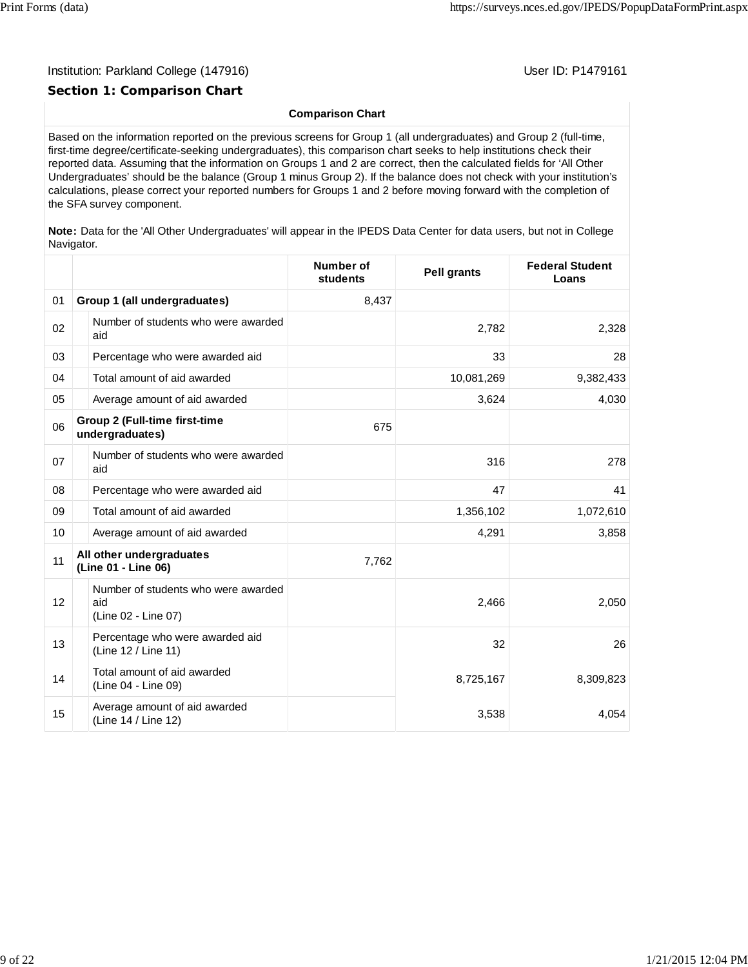#### Institution: Parkland College (147916) November 2012 12: Physics User ID: P1479161

#### **Section 1: Comparison Chart**

#### **Comparison Chart**

Based on the information reported on the previous screens for Group 1 (all undergraduates) and Group 2 (full-time, first-time degree/certificate-seeking undergraduates), this comparison chart seeks to help institutions check their reported data. Assuming that the information on Groups 1 and 2 are correct, then the calculated fields for 'All Other Undergraduates' should be the balance (Group 1 minus Group 2). If the balance does not check with your institution's calculations, please correct your reported numbers for Groups 1 and 2 before moving forward with the completion of the SFA survey component.

**Note:** Data for the 'All Other Undergraduates' will appear in the IPEDS Data Center for data users, but not in College Navigator.

|    |                                                                   | Number of<br>students | <b>Pell grants</b> | <b>Federal Student</b><br>Loans |
|----|-------------------------------------------------------------------|-----------------------|--------------------|---------------------------------|
| 01 | Group 1 (all undergraduates)                                      | 8,437                 |                    |                                 |
| 02 | Number of students who were awarded<br>aid                        |                       | 2,782              | 2,328                           |
| 03 | Percentage who were awarded aid                                   |                       | 33                 | 28                              |
| 04 | Total amount of aid awarded                                       |                       | 10,081,269         | 9,382,433                       |
| 05 | Average amount of aid awarded                                     |                       | 3,624              | 4,030                           |
| 06 | <b>Group 2 (Full-time first-time</b><br>undergraduates)           | 675                   |                    |                                 |
| 07 | Number of students who were awarded<br>aid                        |                       | 316                | 278                             |
| 08 | Percentage who were awarded aid                                   |                       | 47                 | 41                              |
| 09 | Total amount of aid awarded                                       |                       | 1,356,102          | 1,072,610                       |
| 10 | Average amount of aid awarded                                     |                       | 4,291              | 3,858                           |
| 11 | All other undergraduates<br>(Line 01 - Line 06)                   | 7,762                 |                    |                                 |
| 12 | Number of students who were awarded<br>aid<br>(Line 02 - Line 07) |                       | 2,466              | 2,050                           |
| 13 | Percentage who were awarded aid<br>(Line 12 / Line 11)            |                       | 32                 | 26                              |
| 14 | Total amount of aid awarded<br>(Line 04 - Line 09)                |                       | 8,725,167          | 8,309,823                       |
| 15 | Average amount of aid awarded<br>(Line 14 / Line 12)              |                       | 3,538              | 4,054                           |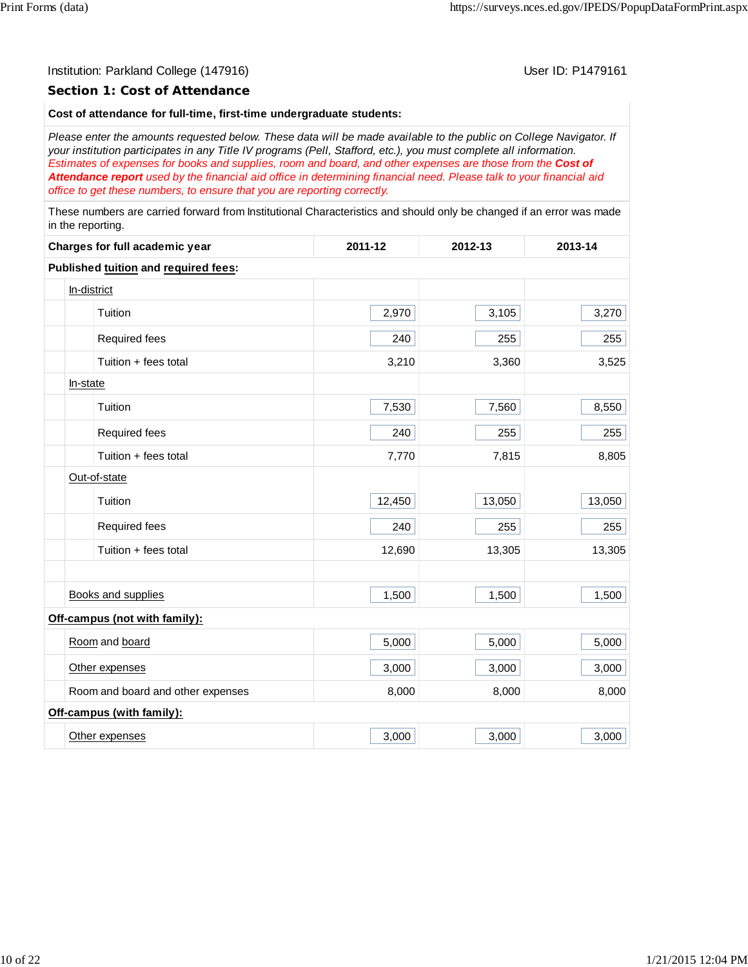#### Institution: Parkland College (147916) November 2012 12: P1479161

#### **Section 1: Cost of Attendance**

#### **Cost of attendance for full-time, first-time undergraduate students:**

*Please enter the amounts requested below. These data will be made available to the public on College Navigator. If your institution participates in any Title IV programs (Pell, Stafford, etc.), you must complete all information. Estimates of expenses for books and supplies, room and board, and other expenses are those from the Cost of Attendance report used by the financial aid office in determining financial need. Please talk to your financial aid office to get these numbers, to ensure that you are reporting correctly.*

These numbers are carried forward from Institutional Characteristics and should only be changed if an error was made in the reporting.

| Charges for full academic year       | 2011-12 | 2012-13 | 2013-14 |  |
|--------------------------------------|---------|---------|---------|--|
| Published tuition and required fees: |         |         |         |  |
| In-district                          |         |         |         |  |
| Tuition                              | 2,970   | 3,105   | 3,270   |  |
| Required fees                        | 240     | 255     | 255     |  |
| Tuition + fees total                 | 3,210   | 3,360   | 3,525   |  |
| In-state                             |         |         |         |  |
| Tuition                              | 7,530   | 7,560   | 8,550   |  |
| Required fees                        | 240     | 255     | 255     |  |
| Tuition + fees total                 | 7,770   | 7,815   | 8,805   |  |
| Out-of-state                         |         |         |         |  |
| Tuition                              | 12,450  | 13,050  | 13,050  |  |
| Required fees                        | 240     | 255     | 255     |  |
| Tuition + fees total                 | 12,690  | 13,305  | 13,305  |  |
|                                      |         |         |         |  |
| <b>Books and supplies</b>            | 1,500   | 1,500   | 1,500   |  |
| Off-campus (not with family):        |         |         |         |  |
| Room and board                       | 5,000   | 5,000   | 5,000   |  |
| Other expenses                       | 3,000   | 3,000   | 3,000   |  |
| Room and board and other expenses    | 8,000   | 8,000   | 8,000   |  |
| Off-campus (with family):            |         |         |         |  |
| Other expenses                       | 3,000   | 3,000   | 3,000   |  |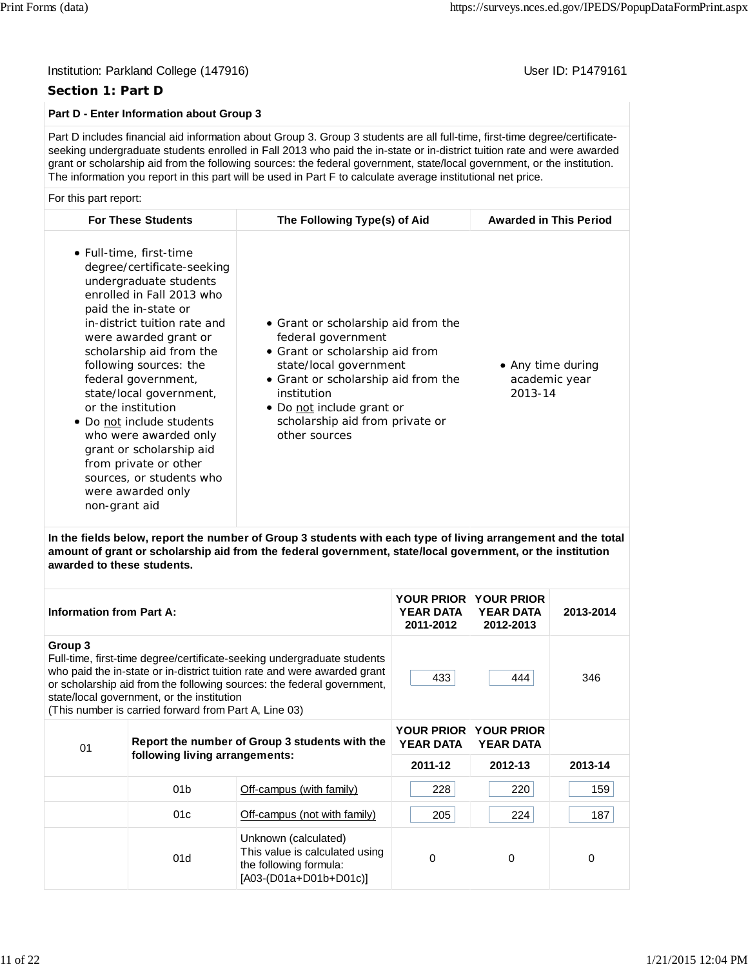#### Institution: Parkland College (147916) November 2012 12: Physics User ID: P1479161

#### **Section 1: Part D**

#### **Part D - Enter Information about Group 3**

Part D includes financial aid information about Group 3. Group 3 students are all full-time, first-time degree/certificateseeking undergraduate students enrolled in Fall 2013 who paid the in-state or in-district tuition rate and were awarded grant or scholarship aid from the following sources: the federal government, state/local government, or the institution. The information you report in this part will be used in Part F to calculate average institutional net price.

#### For this part report:

| <b>For These Students</b>                                                                                                                                                                                                                                                                                                                                                                                                                                                                                | The Following Type(s) of Aid                                                                                                                                                                                                                                  | <b>Awarded in This Period</b>                 |
|----------------------------------------------------------------------------------------------------------------------------------------------------------------------------------------------------------------------------------------------------------------------------------------------------------------------------------------------------------------------------------------------------------------------------------------------------------------------------------------------------------|---------------------------------------------------------------------------------------------------------------------------------------------------------------------------------------------------------------------------------------------------------------|-----------------------------------------------|
| • Full-time, first-time<br>degree/certificate-seeking<br>undergraduate students<br>enrolled in Fall 2013 who<br>paid the in-state or<br>in-district tuition rate and<br>were awarded grant or<br>scholarship aid from the<br>following sources: the<br>federal government,<br>state/local government,<br>or the institution<br>• Do not include students<br>who were awarded only<br>grant or scholarship aid<br>from private or other<br>sources, or students who<br>were awarded only<br>non-grant aid | • Grant or scholarship aid from the<br>federal government<br>• Grant or scholarship aid from<br>state/local government<br>• Grant or scholarship aid from the<br>institution<br>• Do not include grant or<br>scholarship aid from private or<br>other sources | • Any time during<br>academic year<br>2013-14 |

**In the fields below, report the number of Group 3 students with each type of living arrangement and the total amount of grant or scholarship aid from the federal government, state/local government, or the institution awarded to these students.**

| <b>Information from Part A:</b>                      |                                                                                                                                                                                                                                                                                                                                      | <b>YOUR PRIOR</b><br><b>YEAR DATA</b><br>2011-2012                                                         | <b>YOUR PRIOR</b><br><b>YEAR DATA</b><br>2012-2013 | 2013-2014 |             |
|------------------------------------------------------|--------------------------------------------------------------------------------------------------------------------------------------------------------------------------------------------------------------------------------------------------------------------------------------------------------------------------------------|------------------------------------------------------------------------------------------------------------|----------------------------------------------------|-----------|-------------|
| Group 3                                              | Full-time, first-time degree/certificate-seeking undergraduate students<br>who paid the in-state or in-district tuition rate and were awarded grant<br>or scholarship aid from the following sources: the federal government,<br>state/local government, or the institution<br>(This number is carried forward from Part A, Line 03) | 433                                                                                                        | 444                                                | 346       |             |
| Report the number of Group 3 students with the<br>01 |                                                                                                                                                                                                                                                                                                                                      | <b>YOUR PRIOR</b><br><b>YEAR DATA</b>                                                                      | <b>YOUR PRIOR</b><br><b>YEAR DATA</b>              |           |             |
|                                                      | following living arrangements:                                                                                                                                                                                                                                                                                                       |                                                                                                            | 2011-12                                            | 2012-13   | 2013-14     |
|                                                      | 01 <sub>b</sub>                                                                                                                                                                                                                                                                                                                      | Off-campus (with family)                                                                                   | 228                                                | 220       | 159         |
|                                                      | 01c                                                                                                                                                                                                                                                                                                                                  | Off-campus (not with family)                                                                               | 205                                                | 224       | 187         |
|                                                      | 01d                                                                                                                                                                                                                                                                                                                                  | Unknown (calculated)<br>This value is calculated using<br>the following formula:<br>[A03-(D01a+D01b+D01c)] | 0                                                  | 0         | $\mathbf 0$ |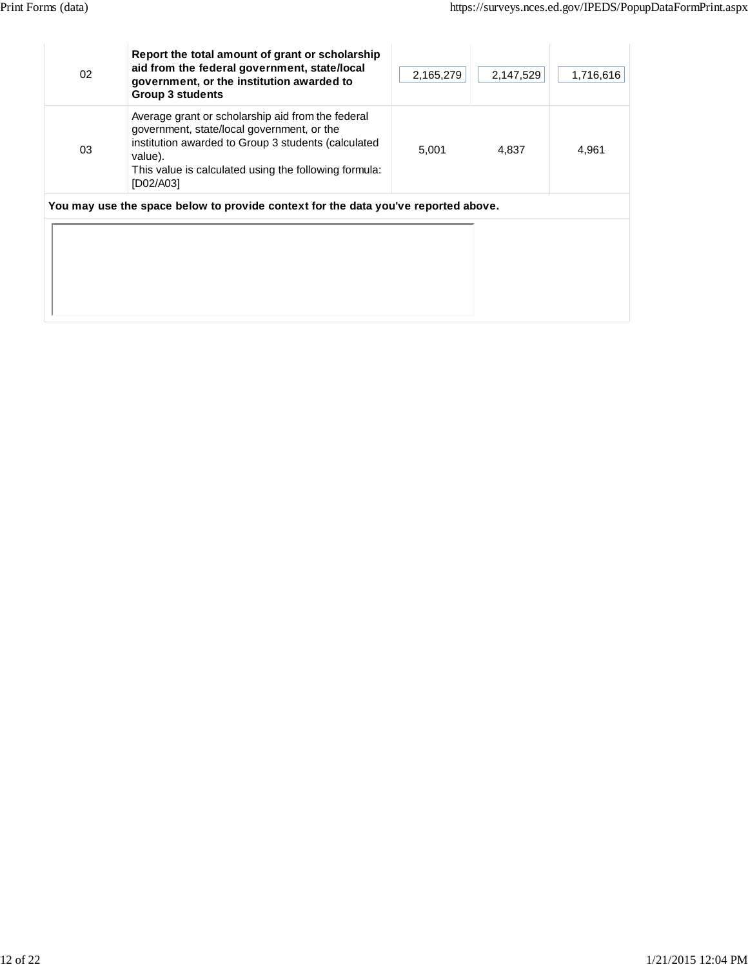| 02 | Report the total amount of grant or scholarship<br>aid from the federal government, state/local<br>government, or the institution awarded to<br><b>Group 3 students</b>                                                                 | 2,165,279 | 2,147,529 | 1,716,616 |
|----|-----------------------------------------------------------------------------------------------------------------------------------------------------------------------------------------------------------------------------------------|-----------|-----------|-----------|
| 03 | Average grant or scholarship aid from the federal<br>government, state/local government, or the<br>institution awarded to Group 3 students (calculated<br>value).<br>This value is calculated using the following formula:<br>[D02/A03] | 5,001     | 4,837     | 4,961     |
|    | You may use the space below to provide context for the data you've reported above.                                                                                                                                                      |           |           |           |
|    |                                                                                                                                                                                                                                         |           |           |           |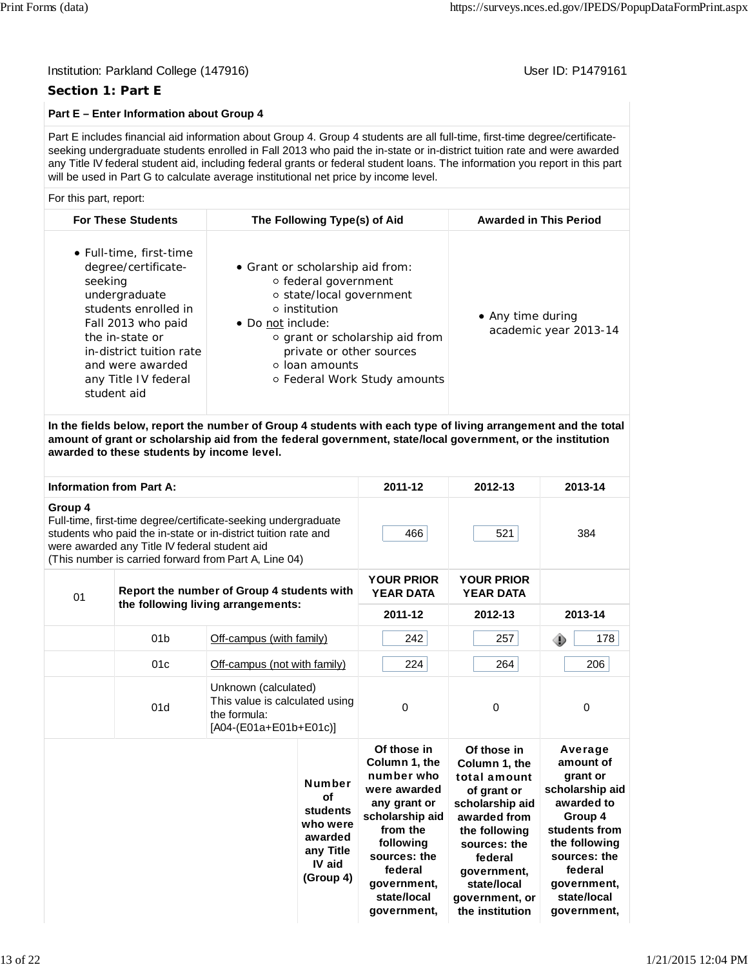#### Institution: Parkland College (147916) November 2012 12: P1479161

#### **Section 1: Part E**

#### **Part E – Enter Information about Group 4**

Part E includes financial aid information about Group 4. Group 4 students are all full-time, first-time degree/certificateseeking undergraduate students enrolled in Fall 2013 who paid the in-state or in-district tuition rate and were awarded any Title IV federal student aid, including federal grants or federal student loans. The information you report in this part will be used in Part G to calculate average institutional net price by income level.

#### For this part, report:

| <b>For These Students</b>                                                                                                                                                                                                          | The Following Type(s) of Aid                                                                                                                                                                                                                       | <b>Awarded in This Period</b>              |
|------------------------------------------------------------------------------------------------------------------------------------------------------------------------------------------------------------------------------------|----------------------------------------------------------------------------------------------------------------------------------------------------------------------------------------------------------------------------------------------------|--------------------------------------------|
| • Full-time, first-time<br>degree/certificate-<br>seeking<br>undergraduate<br>students enrolled in<br>Fall 2013 who paid<br>the in-state or<br>in-district tuition rate<br>and were awarded<br>any Title IV federal<br>student aid | • Grant or scholarship aid from:<br>○ federal government<br>○ state/local government<br>o institution<br>• Do not include:<br>o grant or scholarship aid from<br>private or other sources<br><b>o</b> loan amounts<br>○ Federal Work Study amounts | • Any time during<br>academic year 2013-14 |

**In the fields below, report the number of Group 4 students with each type of living arrangement and the total amount of grant or scholarship aid from the federal government, state/local government, or the institution awarded to these students by income level.**

|                                                  | <b>Information from Part A:</b>               |                                                                                                                                                                                           |                                                                                            | 2011-12                                                                                                                                                                                        | 2012-13                                                                                                                                                                                                       | 2013-14                                                                                                                                                                                |
|--------------------------------------------------|-----------------------------------------------|-------------------------------------------------------------------------------------------------------------------------------------------------------------------------------------------|--------------------------------------------------------------------------------------------|------------------------------------------------------------------------------------------------------------------------------------------------------------------------------------------------|---------------------------------------------------------------------------------------------------------------------------------------------------------------------------------------------------------------|----------------------------------------------------------------------------------------------------------------------------------------------------------------------------------------|
| Group 4                                          | were awarded any Title IV federal student aid | Full-time, first-time degree/certificate-seeking undergraduate<br>students who paid the in-state or in-district tuition rate and<br>(This number is carried forward from Part A, Line 04) |                                                                                            | 466                                                                                                                                                                                            | 521                                                                                                                                                                                                           | 384                                                                                                                                                                                    |
| Report the number of Group 4 students with<br>01 |                                               |                                                                                                                                                                                           |                                                                                            | <b>YOUR PRIOR</b><br><b>YEAR DATA</b>                                                                                                                                                          | <b>YOUR PRIOR</b><br><b>YEAR DATA</b>                                                                                                                                                                         |                                                                                                                                                                                        |
|                                                  |                                               | the following living arrangements:                                                                                                                                                        |                                                                                            | 2011-12                                                                                                                                                                                        | 2012-13                                                                                                                                                                                                       | 2013-14                                                                                                                                                                                |
|                                                  | 01 <sub>b</sub>                               |                                                                                                                                                                                           | Off-campus (with family)                                                                   |                                                                                                                                                                                                | 257                                                                                                                                                                                                           | 178<br>◈                                                                                                                                                                               |
|                                                  | 01c                                           |                                                                                                                                                                                           | Off-campus (not with family)                                                               |                                                                                                                                                                                                | 264                                                                                                                                                                                                           | 206                                                                                                                                                                                    |
|                                                  | 01d                                           | the formula:                                                                                                                                                                              | Unknown (calculated)<br>This value is calculated using<br>[A04-(E01a+E01b+E01c)]           |                                                                                                                                                                                                | 0                                                                                                                                                                                                             | $\Omega$                                                                                                                                                                               |
|                                                  |                                               |                                                                                                                                                                                           | <b>Number</b><br>οf<br>students<br>who were<br>awarded<br>any Title<br>IV aid<br>(Group 4) | Of those in<br>Column 1, the<br>number who<br>were awarded<br>any grant or<br>scholarship aid<br>from the<br>following<br>sources: the<br>federal<br>government,<br>state/local<br>government, | Of those in<br>Column 1. the<br>total amount<br>of grant or<br>scholarship aid<br>awarded from<br>the following<br>sources: the<br>federal<br>government,<br>state/local<br>government, or<br>the institution | Average<br>amount of<br>grant or<br>scholarship aid<br>awarded to<br>Group 4<br>students from<br>the following<br>sources: the<br>federal<br>government,<br>state/local<br>government, |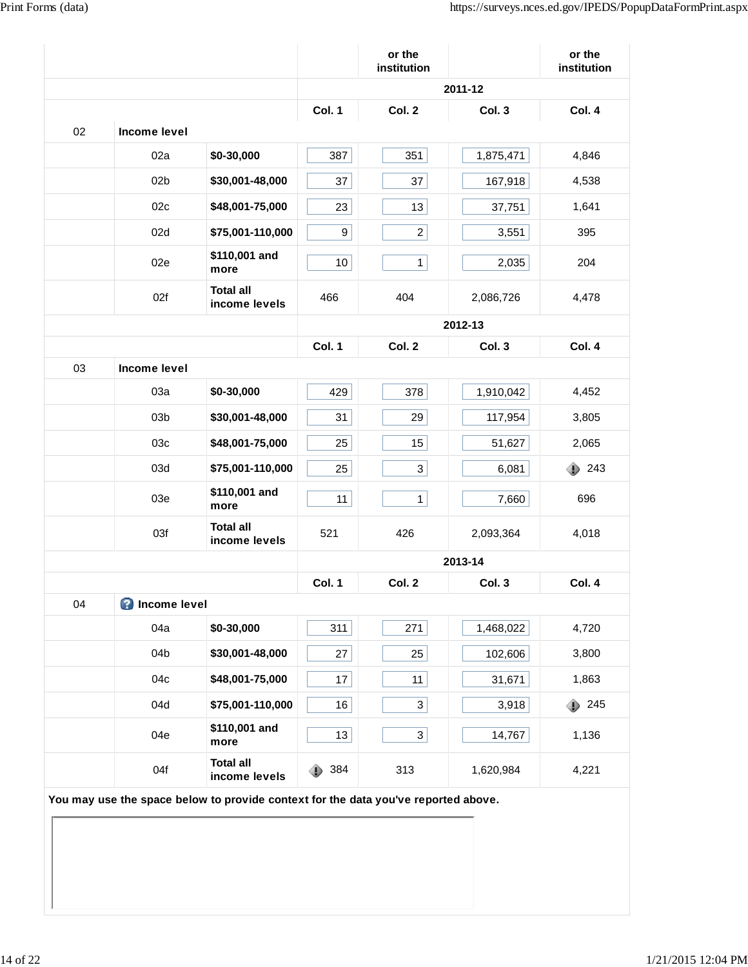|    |                                                                                    |                                   |          | or the<br>institution   |           | or the<br>institution |
|----|------------------------------------------------------------------------------------|-----------------------------------|----------|-------------------------|-----------|-----------------------|
|    |                                                                                    |                                   |          |                         | 2011-12   |                       |
|    |                                                                                    |                                   | Col. 1   | Col. 2                  | Col. 3    | Col. 4                |
| 02 | Income level                                                                       |                                   |          |                         |           |                       |
|    | 02a                                                                                | \$0-30,000                        | 387      | 351                     | 1,875,471 | 4,846                 |
|    | 02 <sub>b</sub>                                                                    | \$30,001-48,000                   | 37       | 37                      | 167,918   | 4,538                 |
|    | 02c                                                                                | \$48,001-75,000                   | 23       | 13                      | 37,751    | 1,641                 |
|    | 02d                                                                                | \$75,001-110,000                  | 9        | $\overline{\mathbf{c}}$ | 3,551     | 395                   |
|    | 02e                                                                                | \$110,001 and<br>more             | 10       | $\mathbf{1}$            | 2,035     | 204                   |
|    | 02f                                                                                | <b>Total all</b><br>income levels | 466      | 404                     | 2,086,726 | 4,478                 |
|    |                                                                                    |                                   |          |                         | 2012-13   |                       |
|    |                                                                                    |                                   | Col. 1   | Col. 2                  | Col. 3    | Col. 4                |
| 03 | Income level                                                                       |                                   |          |                         |           |                       |
|    | 03a                                                                                | \$0-30,000                        | 429      | 378                     | 1,910,042 | 4,452                 |
|    | 03 <sub>b</sub>                                                                    | \$30,001-48,000                   | 31       | 29                      | 117,954   | 3,805                 |
|    | 03c                                                                                | \$48,001-75,000                   | 25       | 15                      | 51,627    | 2,065                 |
|    | 03d                                                                                | \$75,001-110,000                  | 25       | $\mathbf{3}$            | 6,081     | ⊕<br>243              |
|    | 03e                                                                                | \$110,001 and<br>more             | 11       | $\mathbf{1}$            | 7,660     | 696                   |
|    | 03f                                                                                | <b>Total all</b><br>income levels | 521      | 426                     | 2,093,364 | 4,018                 |
|    |                                                                                    |                                   |          |                         | 2013-14   |                       |
|    |                                                                                    |                                   | Col. 1   | Col. 2                  | Col. 3    | Col. 4                |
| 04 | <b>O</b> Income level                                                              |                                   |          |                         |           |                       |
|    | 04a                                                                                | \$0-30,000                        | 311      | 271                     | 1,468,022 | 4,720                 |
|    | 04b                                                                                | \$30,001-48,000                   | 27       | 25                      | 102,606   | 3,800                 |
|    | 04c                                                                                | \$48,001-75,000                   | 17       | 11                      | 31,671    | 1,863                 |
|    | 04d                                                                                | \$75,001-110,000                  | 16       | $\mathbf{3}$            | 3,918     | 245<br>⊕              |
|    | 04e                                                                                | \$110,001 and<br>more             | 13       | $\mathbf{3}$            | 14,767    | 1,136                 |
|    | 04f                                                                                | <b>Total all</b><br>income levels | 384<br>⊕ | 313                     | 1,620,984 | 4,221                 |
|    | You may use the space below to provide context for the data you've reported above. |                                   |          |                         |           |                       |
|    |                                                                                    |                                   |          |                         |           |                       |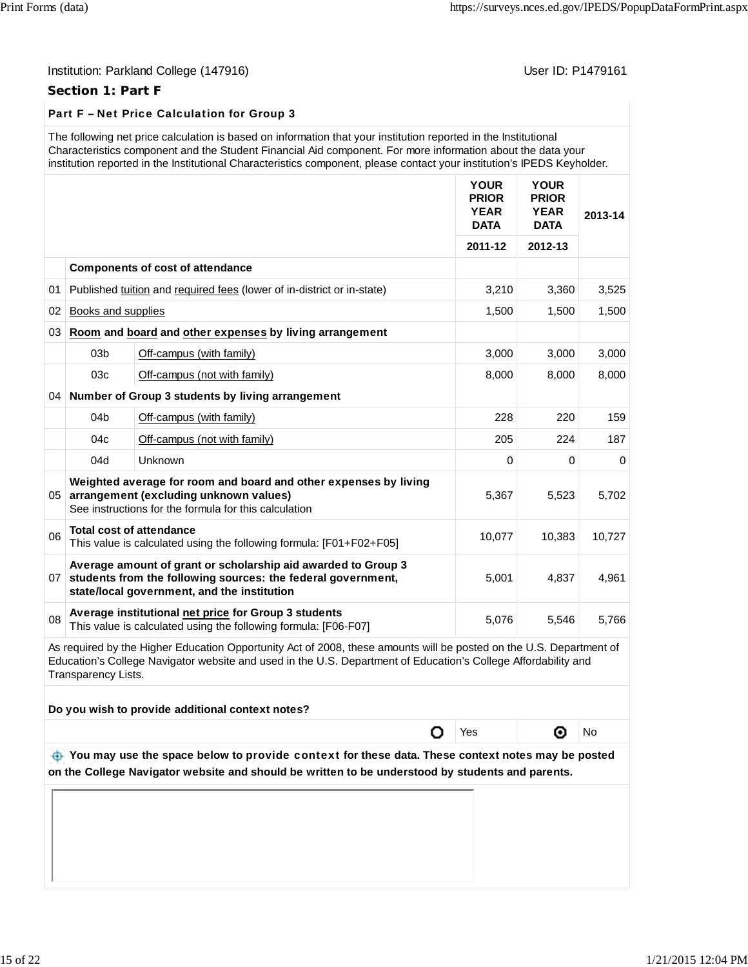#### **Section 1: Part F**

#### Part F – Net Price Calculation for Group 3

| The following net price calculation is based on information that your institution reported in the Institutional         |
|-------------------------------------------------------------------------------------------------------------------------|
| Characteristics component and the Student Financial Aid component. For more information about the data your             |
| institution reported in the Institutional Characteristics component, please contact your institution's IPEDS Keyholder. |

|                 |                     |                                                                                                                                                                                                                                       | <b>YOUR</b><br><b>PRIOR</b><br><b>YEAR</b><br><b>DATA</b> | <b>YOUR</b><br><b>PRIOR</b><br><b>YEAR</b><br><b>DATA</b> | 2013-14  |
|-----------------|---------------------|---------------------------------------------------------------------------------------------------------------------------------------------------------------------------------------------------------------------------------------|-----------------------------------------------------------|-----------------------------------------------------------|----------|
|                 |                     |                                                                                                                                                                                                                                       | 2011-12                                                   | 2012-13                                                   |          |
|                 |                     | <b>Components of cost of attendance</b>                                                                                                                                                                                               |                                                           |                                                           |          |
| 01              |                     | Published tuition and required fees (lower of in-district or in-state)                                                                                                                                                                | 3,210                                                     | 3,360                                                     | 3,525    |
| 02              | Books and supplies  |                                                                                                                                                                                                                                       | 1,500                                                     | 1,500                                                     | 1,500    |
| 03              |                     | Room and board and other expenses by living arrangement                                                                                                                                                                               |                                                           |                                                           |          |
|                 | 03 <sub>b</sub>     | Off-campus (with family)                                                                                                                                                                                                              | 3,000                                                     | 3,000                                                     | 3,000    |
|                 | 03c                 | Off-campus (not with family)                                                                                                                                                                                                          | 8,000                                                     | 8,000                                                     | 8,000    |
|                 |                     | 04 Number of Group 3 students by living arrangement                                                                                                                                                                                   |                                                           |                                                           |          |
|                 | 04 <sub>b</sub>     | Off-campus (with family)                                                                                                                                                                                                              | 228                                                       | 220                                                       | 159      |
|                 | 04c                 | Off-campus (not with family)                                                                                                                                                                                                          | 205                                                       | 224                                                       | 187      |
|                 | 04d                 | <b>Unknown</b>                                                                                                                                                                                                                        | $\Omega$                                                  | $\mathbf 0$                                               | $\Omega$ |
| 05              |                     | Weighted average for room and board and other expenses by living<br>arrangement (excluding unknown values)<br>See instructions for the formula for this calculation                                                                   | 5,367                                                     | 5,523                                                     | 5,702    |
| 06              |                     | <b>Total cost of attendance</b><br>This value is calculated using the following formula: [F01+F02+F05]                                                                                                                                | 10,077                                                    | 10,383                                                    | 10,727   |
| 07 <sup>1</sup> |                     | Average amount of grant or scholarship aid awarded to Group 3<br>students from the following sources: the federal government,<br>state/local government, and the institution                                                          | 5,001                                                     | 4,837                                                     | 4,961    |
| 08              |                     | Average institutional net price for Group 3 students<br>This value is calculated using the following formula: [F06-F07]                                                                                                               | 5,076                                                     | 5,546                                                     | 5.766    |
|                 | Transparency Lists. | As required by the Higher Education Opportunity Act of 2008, these amounts will be posted on the U.S. Department of<br>Education's College Navigator website and used in the U.S. Department of Education's College Affordability and |                                                           |                                                           |          |

**Do you wish to provide additional context notes?**

O Yes | **O** No

 **You may use the space below to** provide context **for these data. These context notes may be posted on the College Navigator website and should be written to be understood by students and parents.**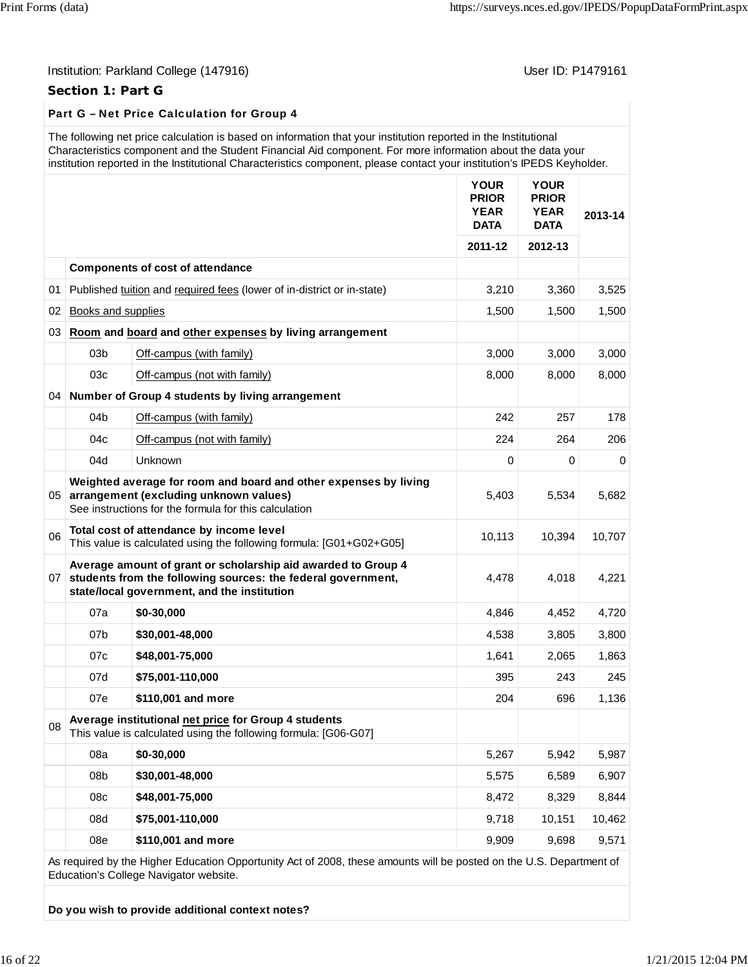#### Institution: Parkland College (147916) **Institution: Parkland College (1479161**

#### **Section 1: Part G**

### Part G – Net Price Calculation for Group 4

|                 |                    | The following net price calculation is based on information that your institution reported in the Institutional<br>Characteristics component and the Student Financial Aid component. For more information about the data your<br>institution reported in the Institutional Characteristics component, please contact your institution's IPEDS Keyholder. |                                                           |                                                           |         |
|-----------------|--------------------|-----------------------------------------------------------------------------------------------------------------------------------------------------------------------------------------------------------------------------------------------------------------------------------------------------------------------------------------------------------|-----------------------------------------------------------|-----------------------------------------------------------|---------|
|                 |                    |                                                                                                                                                                                                                                                                                                                                                           | <b>YOUR</b><br><b>PRIOR</b><br><b>YEAR</b><br><b>DATA</b> | <b>YOUR</b><br><b>PRIOR</b><br><b>YEAR</b><br><b>DATA</b> | 2013-14 |
|                 |                    |                                                                                                                                                                                                                                                                                                                                                           | 2011-12                                                   | 2012-13                                                   |         |
|                 |                    | <b>Components of cost of attendance</b>                                                                                                                                                                                                                                                                                                                   |                                                           |                                                           |         |
| 01              |                    | Published tuition and required fees (lower of in-district or in-state)                                                                                                                                                                                                                                                                                    | 3,210                                                     | 3,360                                                     | 3,525   |
| 02              | Books and supplies |                                                                                                                                                                                                                                                                                                                                                           | 1,500                                                     | 1,500                                                     | 1,500   |
| 03              |                    | Room and board and other expenses by living arrangement                                                                                                                                                                                                                                                                                                   |                                                           |                                                           |         |
|                 | 03 <sub>b</sub>    | Off-campus (with family)                                                                                                                                                                                                                                                                                                                                  | 3,000                                                     | 3,000                                                     | 3,000   |
|                 | 03c                | Off-campus (not with family)                                                                                                                                                                                                                                                                                                                              | 8,000                                                     | 8,000                                                     | 8,000   |
| 04              |                    | Number of Group 4 students by living arrangement                                                                                                                                                                                                                                                                                                          |                                                           |                                                           |         |
|                 | 04 <sub>b</sub>    | Off-campus (with family)                                                                                                                                                                                                                                                                                                                                  | 242                                                       | 257                                                       | 178     |
|                 | 04c                | Off-campus (not with family)                                                                                                                                                                                                                                                                                                                              | 224                                                       | 264                                                       | 206     |
|                 | 04d                | Unknown                                                                                                                                                                                                                                                                                                                                                   | 0                                                         | 0                                                         | 0       |
|                 |                    | Weighted average for room and board and other expenses by living<br>05 arrangement (excluding unknown values)<br>See instructions for the formula for this calculation                                                                                                                                                                                    | 5,403                                                     | 5,534                                                     | 5,682   |
| 06              |                    | Total cost of attendance by income level<br>This value is calculated using the following formula: [G01+G02+G05]                                                                                                                                                                                                                                           | 10,113                                                    | 10,394                                                    | 10,707  |
| 07 <sup>1</sup> |                    | Average amount of grant or scholarship aid awarded to Group 4<br>students from the following sources: the federal government,<br>state/local government, and the institution                                                                                                                                                                              | 4,478                                                     | 4,018                                                     | 4,221   |
|                 | 07a                | \$0-30,000                                                                                                                                                                                                                                                                                                                                                | 4,846                                                     | 4,452                                                     | 4,720   |
|                 | 07 <sub>b</sub>    | \$30,001-48,000                                                                                                                                                                                                                                                                                                                                           | 4,538                                                     | 3,805                                                     | 3,800   |
|                 | 07c                | \$48,001-75,000                                                                                                                                                                                                                                                                                                                                           | 1,641                                                     | 2,065                                                     | 1,863   |
|                 | 07d                | \$75,001-110,000                                                                                                                                                                                                                                                                                                                                          | 395                                                       | 243                                                       | 245     |
|                 | 07e                | \$110,001 and more                                                                                                                                                                                                                                                                                                                                        | 204                                                       | 696                                                       | 1,136   |
| 08              |                    | Average institutional net price for Group 4 students<br>This value is calculated using the following formula: [G06-G07]                                                                                                                                                                                                                                   |                                                           |                                                           |         |
|                 | 08a                | \$0-30,000                                                                                                                                                                                                                                                                                                                                                | 5,267                                                     | 5,942                                                     | 5,987   |
|                 | 08 <sub>b</sub>    | \$30,001-48,000                                                                                                                                                                                                                                                                                                                                           | 5,575                                                     | 6,589                                                     | 6,907   |
|                 | 08c                | \$48,001-75,000                                                                                                                                                                                                                                                                                                                                           | 8,472                                                     | 8,329                                                     | 8,844   |
|                 | 08d                | \$75,001-110,000                                                                                                                                                                                                                                                                                                                                          | 9,718                                                     | 10,151                                                    | 10,462  |
|                 | 08e                | \$110,001 and more                                                                                                                                                                                                                                                                                                                                        | 9,909                                                     | 9,698                                                     | 9,571   |
|                 |                    | As required by the Higher Education Opportunity Act of 2008, these amounts will be posted on the U.S. Department of                                                                                                                                                                                                                                       |                                                           |                                                           |         |

Education's College Navigator website.

**Do you wish to provide additional context notes?**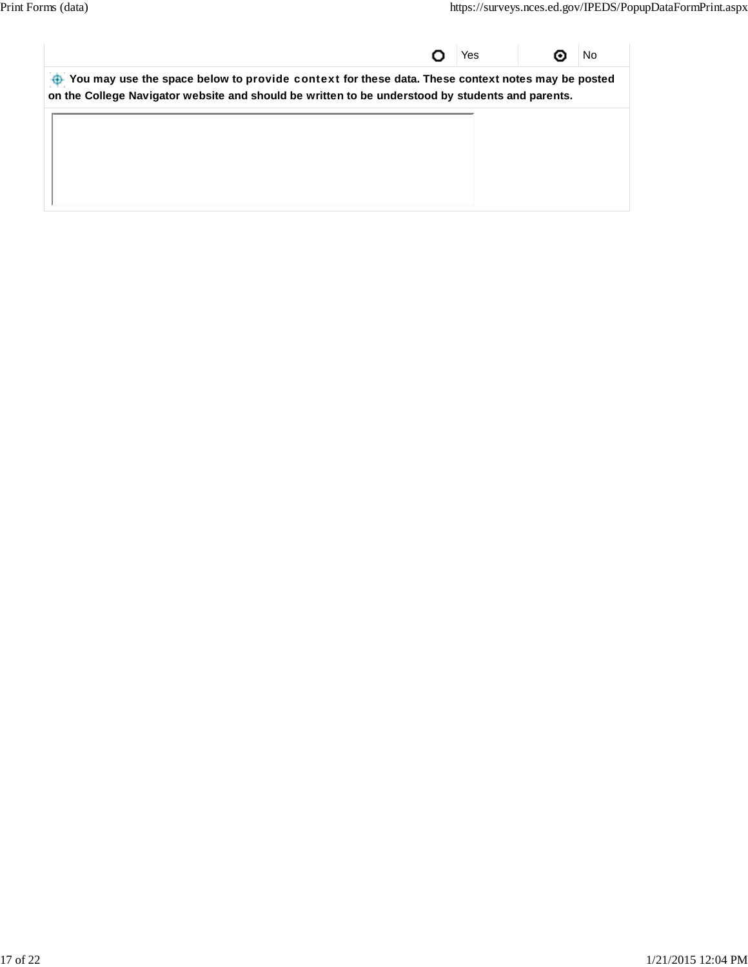|                                                                                                  | Yes | No |
|--------------------------------------------------------------------------------------------------|-----|----|
| You may use the space below to provide context for these data. These context notes may be posted |     |    |
| on the College Navigator website and should be written to be understood by students and parents. |     |    |
|                                                                                                  |     |    |
|                                                                                                  |     |    |
|                                                                                                  |     |    |
|                                                                                                  |     |    |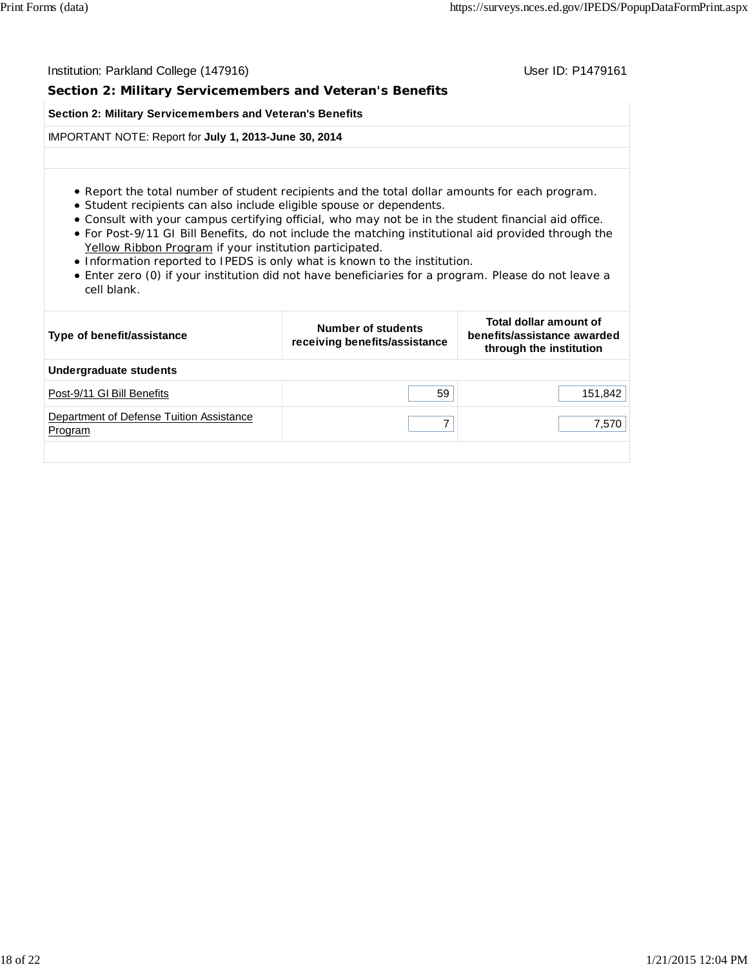| Institution: Parkland College (147916)                                                                                                                                                                                                                                                                                                                                                                                                                                                                                                                                                                                                               |                                                            | User ID: P1479161                                                                |  |  |  |  |  |  |
|------------------------------------------------------------------------------------------------------------------------------------------------------------------------------------------------------------------------------------------------------------------------------------------------------------------------------------------------------------------------------------------------------------------------------------------------------------------------------------------------------------------------------------------------------------------------------------------------------------------------------------------------------|------------------------------------------------------------|----------------------------------------------------------------------------------|--|--|--|--|--|--|
| Section 2: Military Servicemembers and Veteran's Benefits                                                                                                                                                                                                                                                                                                                                                                                                                                                                                                                                                                                            |                                                            |                                                                                  |  |  |  |  |  |  |
| Section 2: Military Servicemembers and Veteran's Benefits                                                                                                                                                                                                                                                                                                                                                                                                                                                                                                                                                                                            |                                                            |                                                                                  |  |  |  |  |  |  |
| IMPORTANT NOTE: Report for July 1, 2013-June 30, 2014                                                                                                                                                                                                                                                                                                                                                                                                                                                                                                                                                                                                |                                                            |                                                                                  |  |  |  |  |  |  |
|                                                                                                                                                                                                                                                                                                                                                                                                                                                                                                                                                                                                                                                      |                                                            |                                                                                  |  |  |  |  |  |  |
| • Report the total number of student recipients and the total dollar amounts for each program.<br>• Student recipients can also include eligible spouse or dependents.<br>. Consult with your campus certifying official, who may not be in the student financial aid office.<br>• For Post-9/11 GI Bill Benefits, do not include the matching institutional aid provided through the<br>Yellow Ribbon Program if your institution participated.<br>• Information reported to IPEDS is only what is known to the institution.<br>• Enter zero (0) if your institution did not have beneficiaries for a program. Please do not leave a<br>cell blank. |                                                            |                                                                                  |  |  |  |  |  |  |
| Type of benefit/assistance                                                                                                                                                                                                                                                                                                                                                                                                                                                                                                                                                                                                                           | <b>Number of students</b><br>receiving benefits/assistance | Total dollar amount of<br>benefits/assistance awarded<br>through the institution |  |  |  |  |  |  |
| <b>Undergraduate students</b>                                                                                                                                                                                                                                                                                                                                                                                                                                                                                                                                                                                                                        |                                                            |                                                                                  |  |  |  |  |  |  |
| Post-9/11 GI Bill Benefits                                                                                                                                                                                                                                                                                                                                                                                                                                                                                                                                                                                                                           | 59                                                         | 151,842                                                                          |  |  |  |  |  |  |
| Department of Defense Tuition Assistance<br>Program                                                                                                                                                                                                                                                                                                                                                                                                                                                                                                                                                                                                  | $\overline{7}$                                             | 7,570                                                                            |  |  |  |  |  |  |
|                                                                                                                                                                                                                                                                                                                                                                                                                                                                                                                                                                                                                                                      |                                                            |                                                                                  |  |  |  |  |  |  |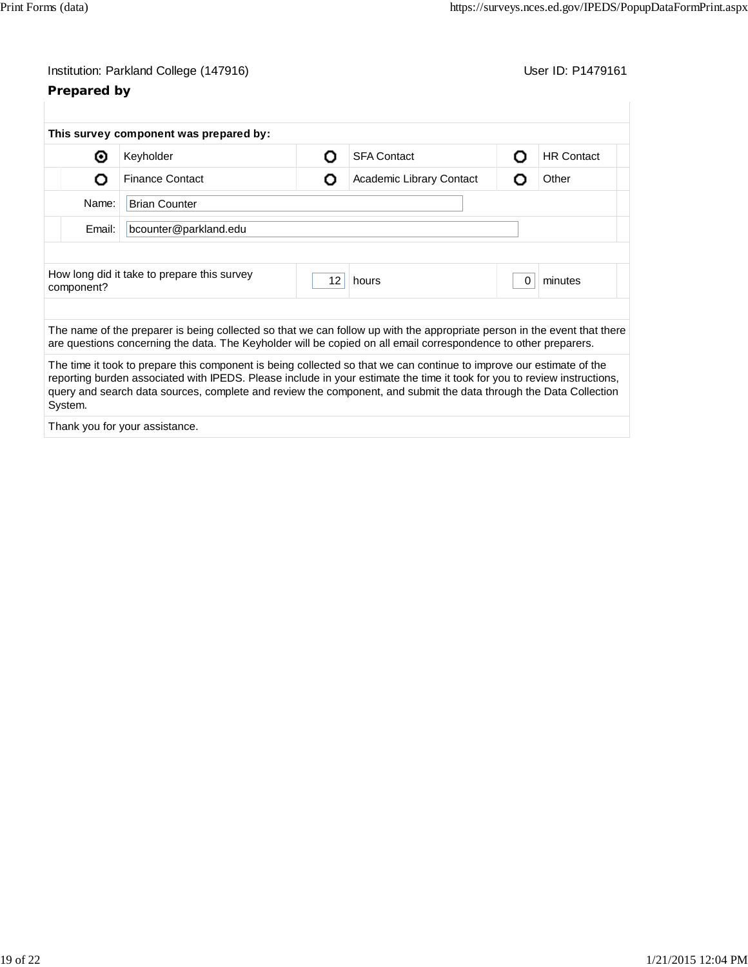# **Prepared by**

|                                                                                                                                                                                                                                             | This survey component was prepared by:                                                                                                                                                                                                                                                                                                                                |    |                          |          |                   |  |
|---------------------------------------------------------------------------------------------------------------------------------------------------------------------------------------------------------------------------------------------|-----------------------------------------------------------------------------------------------------------------------------------------------------------------------------------------------------------------------------------------------------------------------------------------------------------------------------------------------------------------------|----|--------------------------|----------|-------------------|--|
| ⊙                                                                                                                                                                                                                                           | Keyholder                                                                                                                                                                                                                                                                                                                                                             | ი  | <b>SFA Contact</b>       | O        | <b>HR Contact</b> |  |
| Ω                                                                                                                                                                                                                                           | <b>Finance Contact</b>                                                                                                                                                                                                                                                                                                                                                | O  | Academic Library Contact | O        | Other             |  |
| Name:                                                                                                                                                                                                                                       | <b>Brian Counter</b>                                                                                                                                                                                                                                                                                                                                                  |    |                          |          |                   |  |
| Email:                                                                                                                                                                                                                                      | bcounter@parkland.edu                                                                                                                                                                                                                                                                                                                                                 |    |                          |          |                   |  |
|                                                                                                                                                                                                                                             |                                                                                                                                                                                                                                                                                                                                                                       |    |                          |          |                   |  |
| component?                                                                                                                                                                                                                                  | How long did it take to prepare this survey                                                                                                                                                                                                                                                                                                                           | 12 | hours                    | $\Omega$ | minutes           |  |
|                                                                                                                                                                                                                                             |                                                                                                                                                                                                                                                                                                                                                                       |    |                          |          |                   |  |
| The name of the preparer is being collected so that we can follow up with the appropriate person in the event that there<br>are questions concerning the data. The Keyholder will be copied on all email correspondence to other preparers. |                                                                                                                                                                                                                                                                                                                                                                       |    |                          |          |                   |  |
| System.                                                                                                                                                                                                                                     | The time it took to prepare this component is being collected so that we can continue to improve our estimate of the<br>reporting burden associated with IPEDS. Please include in your estimate the time it took for you to review instructions,<br>query and search data sources, complete and review the component, and submit the data through the Data Collection |    |                          |          |                   |  |
|                                                                                                                                                                                                                                             |                                                                                                                                                                                                                                                                                                                                                                       |    |                          |          |                   |  |

Thank you for your assistance.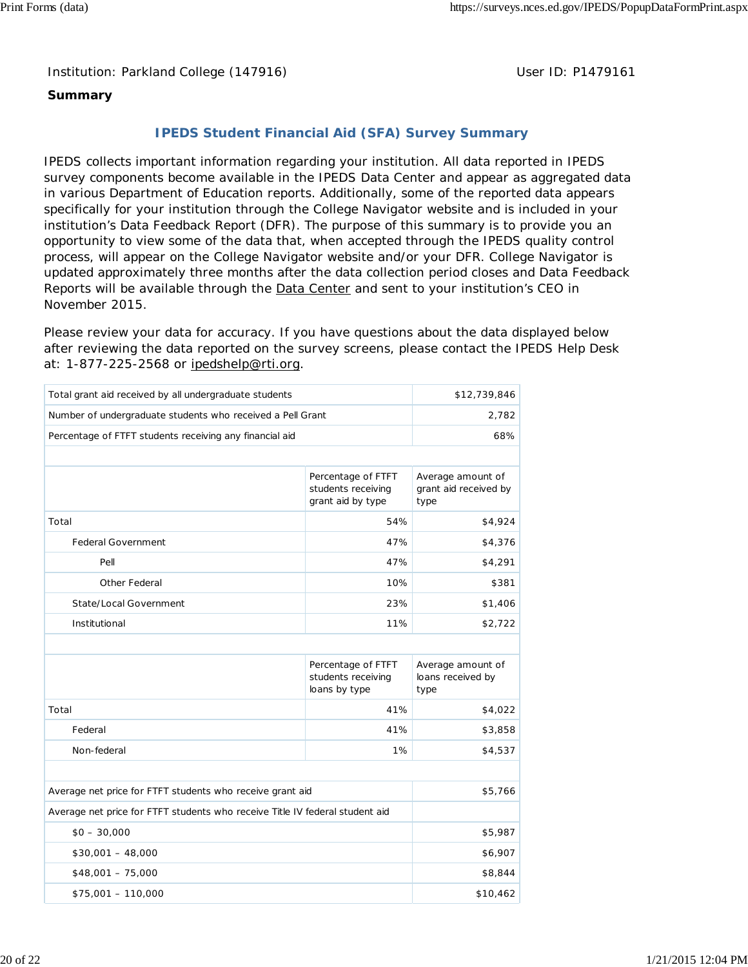### **Summary**

## **IPEDS Student Financial Aid (SFA) Survey Summary**

IPEDS collects important information regarding your institution. All data reported in IPEDS survey components become available in the IPEDS Data Center and appear as aggregated data in various Department of Education reports. Additionally, some of the reported data appears specifically for your institution through the College Navigator website and is included in your institution's Data Feedback Report (DFR). The purpose of this summary is to provide you an opportunity to view some of the data that, when accepted through the IPEDS quality control process, will appear on the College Navigator website and/or your DFR. College Navigator is updated approximately three months after the data collection period closes and Data Feedback Reports will be available through the **Data Center** and sent to your institution's CEO in November 2015.

Please review your data for accuracy. If you have questions about the data displayed below after reviewing the data reported on the survey screens, please contact the IPEDS Help Desk at: 1-877-225-2568 or ipedshelp@rti.org.

| Total grant aid received by all undergraduate students                       | \$12,739,846                                                  |                                                    |
|------------------------------------------------------------------------------|---------------------------------------------------------------|----------------------------------------------------|
| Number of undergraduate students who received a Pell Grant                   | 2,782                                                         |                                                    |
| Percentage of FTFT students receiving any financial aid                      |                                                               | 68%                                                |
|                                                                              |                                                               |                                                    |
|                                                                              | Percentage of FTFT<br>students receiving<br>grant aid by type | Average amount of<br>grant aid received by<br>type |
| Total                                                                        | 54%                                                           | \$4,924                                            |
| <b>Federal Government</b>                                                    | 47%                                                           | \$4,376                                            |
| Pell                                                                         | 47%                                                           | \$4,291                                            |
| Other Federal                                                                | 10%                                                           | \$381                                              |
| State/Local Government                                                       | 23%                                                           | \$1,406                                            |
| Institutional                                                                | 11%                                                           | \$2,722                                            |
|                                                                              |                                                               |                                                    |
|                                                                              | Percentage of FTFT<br>students receiving<br>loans by type     | Average amount of<br>loans received by<br>type     |
| Total                                                                        | 41%                                                           | \$4,022                                            |
| Federal                                                                      | 41%                                                           | \$3,858                                            |
| Non-federal                                                                  | 1%                                                            | \$4,537                                            |
|                                                                              |                                                               |                                                    |
| Average net price for FTFT students who receive grant aid                    |                                                               | \$5,766                                            |
| Average net price for FTFT students who receive Title IV federal student aid |                                                               |                                                    |
| $$0 - 30,000$                                                                | \$5,987                                                       |                                                    |
| $$30,001 - 48,000$                                                           | \$6,907                                                       |                                                    |
| $$48,001 - 75,000$                                                           |                                                               | \$8,844                                            |
| $$75,001 - 110,000$                                                          | \$10,462                                                      |                                                    |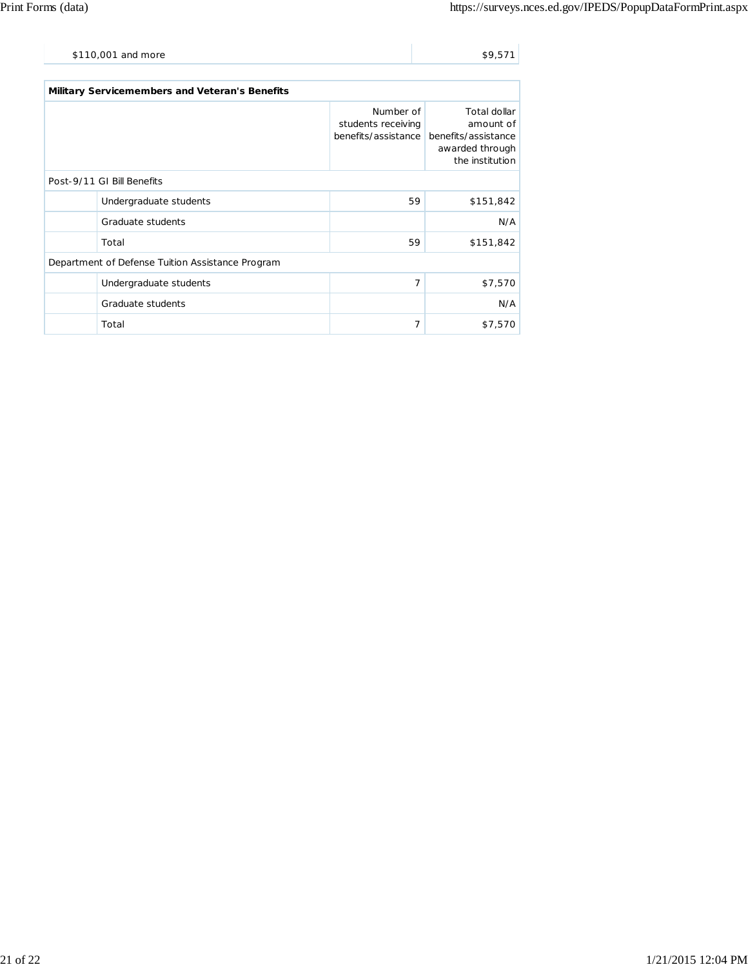| \$110,001 and more | \$9,571 |
|--------------------|---------|
|                    |         |

| Military Servicemembers and Veteran's Benefits   |                                                        |                                                                                        |  |  |  |  |
|--------------------------------------------------|--------------------------------------------------------|----------------------------------------------------------------------------------------|--|--|--|--|
|                                                  | Number of<br>students receiving<br>benefits/assistance | Total dollar<br>amount of<br>benefits/assistance<br>awarded through<br>the institution |  |  |  |  |
| Post-9/11 GI Bill Benefits                       |                                                        |                                                                                        |  |  |  |  |
| Undergraduate students                           | 59                                                     | \$151,842                                                                              |  |  |  |  |
| Graduate students                                |                                                        | N/A                                                                                    |  |  |  |  |
| Total                                            | 59                                                     | \$151,842                                                                              |  |  |  |  |
| Department of Defense Tuition Assistance Program |                                                        |                                                                                        |  |  |  |  |
| Undergraduate students                           | 7                                                      | \$7,570                                                                                |  |  |  |  |
| Graduate students                                |                                                        | N/A                                                                                    |  |  |  |  |
| Total                                            | 7                                                      | \$7,570                                                                                |  |  |  |  |